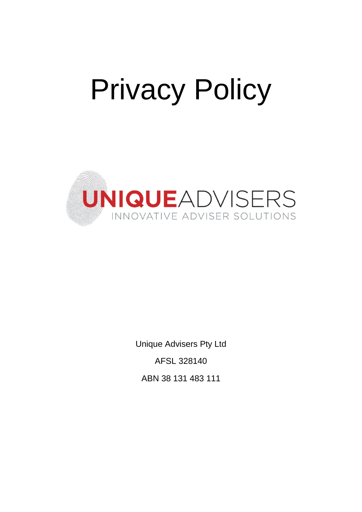# Privacy Policy



Unique Advisers Pty Ltd AFSL 328140 ABN 38 131 483 111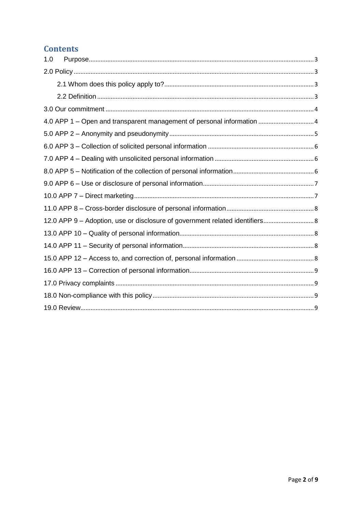# **Contents**

<span id="page-1-0"></span>

| 1.0 |                                                                              |  |
|-----|------------------------------------------------------------------------------|--|
|     |                                                                              |  |
|     |                                                                              |  |
|     |                                                                              |  |
|     |                                                                              |  |
|     | 4.0 APP 1 – Open and transparent management of personal information  4       |  |
|     |                                                                              |  |
|     |                                                                              |  |
|     |                                                                              |  |
|     |                                                                              |  |
|     |                                                                              |  |
|     |                                                                              |  |
|     |                                                                              |  |
|     | 12.0 APP 9 - Adoption, use or disclosure of government related identifiers 8 |  |
|     |                                                                              |  |
|     |                                                                              |  |
|     |                                                                              |  |
|     |                                                                              |  |
|     |                                                                              |  |
|     |                                                                              |  |
|     |                                                                              |  |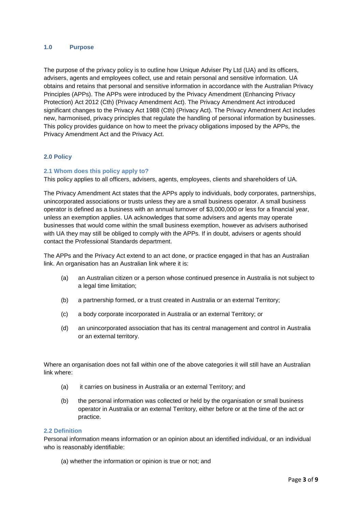#### **1.0 Purpose**

The purpose of the privacy policy is to outline how Unique Adviser Pty Ltd (UA) and its officers, advisers, agents and employees collect, use and retain personal and sensitive information. UA obtains and retains that personal and sensitive information in accordance with the Australian Privacy Principles (APPs). The APPs were introduced by the Privacy Amendment (Enhancing Privacy Protection) Act 2012 (Cth) (Privacy Amendment Act). The Privacy Amendment Act introduced significant changes to the Privacy Act 1988 (Cth) (Privacy Act). The Privacy Amendment Act includes new, harmonised, privacy principles that regulate the handling of personal information by businesses. This policy provides guidance on how to meet the privacy obligations imposed by the APPs, the Privacy Amendment Act and the Privacy Act.

#### <span id="page-2-0"></span>**2.0 Policy**

#### <span id="page-2-1"></span>**2.1 Whom does this policy apply to?**

This policy applies to all officers, advisers, agents, employees, clients and shareholders of UA.

The Privacy Amendment Act states that the APPs apply to individuals, body corporates, partnerships, unincorporated associations or trusts unless they are a small business operator. A small business operator is defined as a business with an annual turnover of \$3,000,000 or less for a financial year, unless an exemption applies. UA acknowledges that some advisers and agents may operate businesses that would come within the small business exemption, however as advisers authorised with UA they may still be obliged to comply with the APPs. If in doubt, advisers or agents should contact the Professional Standards department.

The APPs and the Privacy Act extend to an act done, or practice engaged in that has an Australian link. An organisation has an Australian link where it is:

- (a) an Australian citizen or a person whose continued presence in Australia is not subject to a legal time limitation;
- (b) a partnership formed, or a trust created in Australia or an external Territory;
- (c) a body corporate incorporated in Australia or an external Territory; or
- (d) an unincorporated association that has its central management and control in Australia or an external territory.

Where an organisation does not fall within one of the above categories it will still have an Australian link where:

- (a) it carries on business in Australia or an external Territory; and
- (b) the personal information was collected or held by the organisation or small business operator in Australia or an external Territory, either before or at the time of the act or practice.

#### <span id="page-2-2"></span>**2.2 Definition**

Personal information means information or an opinion about an identified individual, or an individual who is reasonably identifiable:

(a) whether the information or opinion is true or not; and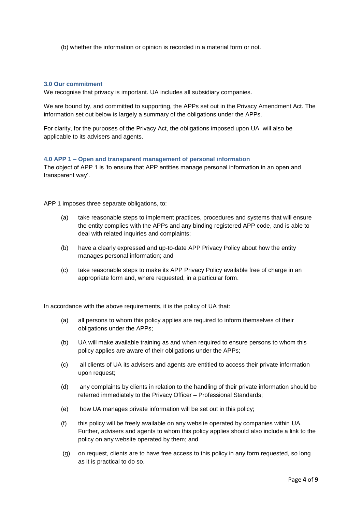(b) whether the information or opinion is recorded in a material form or not.

#### <span id="page-3-0"></span>**3.0 Our commitment**

We recognise that privacy is important. UA includes all subsidiary companies.

We are bound by, and committed to supporting, the APPs set out in the Privacy Amendment Act. The information set out below is largely a summary of the obligations under the APPs.

For clarity, for the purposes of the Privacy Act, the obligations imposed upon UA will also be applicable to its advisers and agents.

#### <span id="page-3-1"></span>**4.0 APP 1 – Open and transparent management of personal information**

The object of APP 1 is 'to ensure that APP entities manage personal information in an open and transparent way'.

APP 1 imposes three separate obligations, to:

- (a) take reasonable steps to implement practices, procedures and systems that will ensure the entity complies with the APPs and any binding registered APP code, and is able to deal with related inquiries and complaints;
- (b) have a clearly expressed and up-to-date APP Privacy Policy about how the entity manages personal information; and
- (c) take reasonable steps to make its APP Privacy Policy available free of charge in an appropriate form and, where requested, in a particular form.

In accordance with the above requirements, it is the policy of UA that:

- (a) all persons to whom this policy applies are required to inform themselves of their obligations under the APPs;
- (b) UA will make available training as and when required to ensure persons to whom this policy applies are aware of their obligations under the APPs;
- (c) all clients of UA its advisers and agents are entitled to access their private information upon request;
- (d) any complaints by clients in relation to the handling of their private information should be referred immediately to the Privacy Officer – Professional Standards;
- (e) how UA manages private information will be set out in this policy;
- (f) this policy will be freely available on any website operated by companies within UA. Further, advisers and agents to whom this policy applies should also include a link to the policy on any website operated by them; and
- (g) on request, clients are to have free access to this policy in any form requested, so long as it is practical to do so.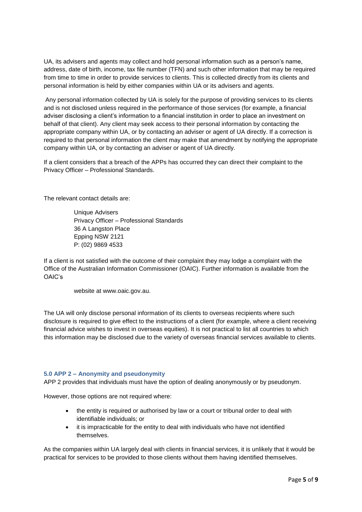UA, its advisers and agents may collect and hold personal information such as a person's name, address, date of birth, income, tax file number (TFN) and such other information that may be required from time to time in order to provide services to clients. This is collected directly from its clients and personal information is held by either companies within UA or its advisers and agents.

Any personal information collected by UA is solely for the purpose of providing services to its clients and is not disclosed unless required in the performance of those services (for example, a financial adviser disclosing a client's information to a financial institution in order to place an investment on behalf of that client). Any client may seek access to their personal information by contacting the appropriate company within UA, or by contacting an adviser or agent of UA directly. If a correction is required to that personal information the client may make that amendment by notifying the appropriate company within UA, or by contacting an adviser or agent of UA directly.

If a client considers that a breach of the APPs has occurred they can direct their complaint to the Privacy Officer – Professional Standards.

The relevant contact details are:

Unique Advisers Privacy Officer – Professional Standards 36 A Langston Place Epping NSW 2121 P: (02) 9869 4533

If a client is not satisfied with the outcome of their complaint they may lodge a complaint with the Office of the Australian Information Commissioner (OAIC). Further information is available from the OAIC's

website at www.oaic.gov.au.

The UA will only disclose personal information of its clients to overseas recipients where such disclosure is required to give effect to the instructions of a client (for example, where a client receiving financial advice wishes to invest in overseas equities). It is not practical to list all countries to which this information may be disclosed due to the variety of overseas financial services available to clients.

# <span id="page-4-0"></span>**5.0 APP 2 – Anonymity and pseudonymity**

APP 2 provides that individuals must have the option of dealing anonymously or by pseudonym.

However, those options are not required where:

- the entity is required or authorised by law or a court or tribunal order to deal with identifiable individuals; or
- it is impracticable for the entity to deal with individuals who have not identified themselves.

As the companies within UA largely deal with clients in financial services, it is unlikely that it would be practical for services to be provided to those clients without them having identified themselves.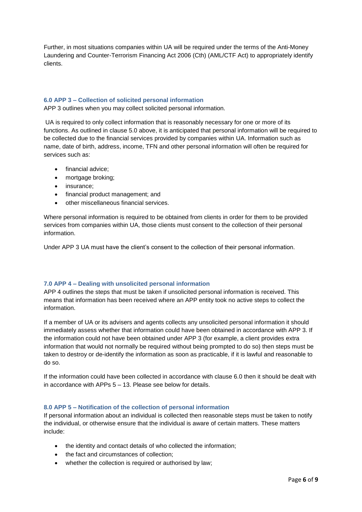Further, in most situations companies within UA will be required under the terms of the Anti-Money Laundering and Counter-Terrorism Financing Act 2006 (Cth) (AML/CTF Act) to appropriately identify clients.

#### <span id="page-5-0"></span>**6.0 APP 3 – Collection of solicited personal information**

APP 3 outlines when you may collect solicited personal information.

UA is required to only collect information that is reasonably necessary for one or more of its functions. As outlined in clause 5.0 above, it is anticipated that personal information will be required to be collected due to the financial services provided by companies within UA. Information such as name, date of birth, address, income, TFN and other personal information will often be required for services such as:

- financial advice;
- mortgage broking;
- insurance;
- financial product management; and
- other miscellaneous financial services.

Where personal information is required to be obtained from clients in order for them to be provided services from companies within UA, those clients must consent to the collection of their personal information.

Under APP 3 UA must have the client's consent to the collection of their personal information.

# <span id="page-5-1"></span>**7.0 APP 4 – Dealing with unsolicited personal information**

APP 4 outlines the steps that must be taken if unsolicited personal information is received. This means that information has been received where an APP entity took no active steps to collect the information.

If a member of UA or its advisers and agents collects any unsolicited personal information it should immediately assess whether that information could have been obtained in accordance with APP 3. If the information could not have been obtained under APP 3 (for example, a client provides extra information that would not normally be required without being prompted to do so) then steps must be taken to destroy or de-identify the information as soon as practicable, if it is lawful and reasonable to do so.

If the information could have been collected in accordance with clause 6.0 then it should be dealt with in accordance with APPs 5 – 13. Please see below for details.

# <span id="page-5-2"></span>**8.0 APP 5 – Notification of the collection of personal information**

If personal information about an individual is collected then reasonable steps must be taken to notify the individual, or otherwise ensure that the individual is aware of certain matters. These matters include:

- the identity and contact details of who collected the information;
- the fact and circumstances of collection;
- whether the collection is required or authorised by law;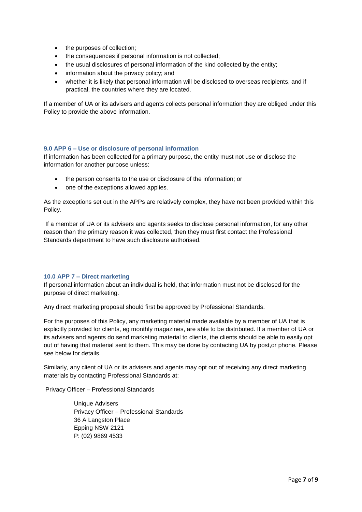- the purposes of collection;
- the consequences if personal information is not collected;
- the usual disclosures of personal information of the kind collected by the entity;
- information about the privacy policy; and
- whether it is likely that personal information will be disclosed to overseas recipients, and if practical, the countries where they are located.

If a member of UA or its advisers and agents collects personal information they are obliged under this Policy to provide the above information.

#### <span id="page-6-0"></span>**9.0 APP 6 – Use or disclosure of personal information**

If information has been collected for a primary purpose, the entity must not use or disclose the information for another purpose unless:

- the person consents to the use or disclosure of the information; or
- one of the exceptions allowed applies.

As the exceptions set out in the APPs are relatively complex, they have not been provided within this Policy.

If a member of UA or its advisers and agents seeks to disclose personal information, for any other reason than the primary reason it was collected, then they must first contact the Professional Standards department to have such disclosure authorised.

#### <span id="page-6-1"></span>**10.0 APP 7 – Direct marketing**

If personal information about an individual is held, that information must not be disclosed for the purpose of direct marketing.

Any direct marketing proposal should first be approved by Professional Standards.

For the purposes of this Policy, any marketing material made available by a member of UA that is explicitly provided for clients, eg monthly magazines, are able to be distributed. If a member of UA or its advisers and agents do send marketing material to clients, the clients should be able to easily opt out of having that material sent to them. This may be done by contacting UA by post,or phone. Please see below for details.

Similarly, any client of UA or its advisers and agents may opt out of receiving any direct marketing materials by contacting Professional Standards at:

Privacy Officer – Professional Standards

Unique Advisers Privacy Officer – Professional Standards 36 A Langston Place Epping NSW 2121 P: (02) 9869 4533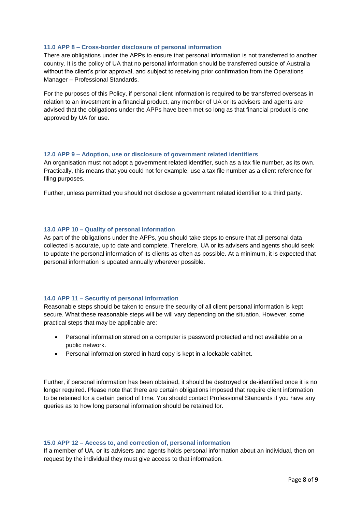#### <span id="page-7-0"></span>**11.0 APP 8 – Cross-border disclosure of personal information**

There are obligations under the APPs to ensure that personal information is not transferred to another country. It is the policy of UA that no personal information should be transferred outside of Australia without the client's prior approval, and subject to receiving prior confirmation from the Operations Manager – Professional Standards.

For the purposes of this Policy, if personal client information is required to be transferred overseas in relation to an investment in a financial product, any member of UA or its advisers and agents are advised that the obligations under the APPs have been met so long as that financial product is one approved by UA for use.

#### <span id="page-7-1"></span>**12.0 APP 9 – Adoption, use or disclosure of government related identifiers**

An organisation must not adopt a government related identifier, such as a tax file number, as its own. Practically, this means that you could not for example, use a tax file number as a client reference for filing purposes.

Further, unless permitted you should not disclose a government related identifier to a third party.

#### <span id="page-7-2"></span>**13.0 APP 10 – Quality of personal information**

As part of the obligations under the APPs, you should take steps to ensure that all personal data collected is accurate, up to date and complete. Therefore, UA or its advisers and agents should seek to update the personal information of its clients as often as possible. At a minimum, it is expected that personal information is updated annually wherever possible.

#### <span id="page-7-3"></span>**14.0 APP 11 – Security of personal information**

Reasonable steps should be taken to ensure the security of all client personal information is kept secure. What these reasonable steps will be will vary depending on the situation. However, some practical steps that may be applicable are:

- Personal information stored on a computer is password protected and not available on a public network.
- Personal information stored in hard copy is kept in a lockable cabinet.

Further, if personal information has been obtained, it should be destroyed or de-identified once it is no longer required. Please note that there are certain obligations imposed that require client information to be retained for a certain period of time. You should contact Professional Standards if you have any queries as to how long personal information should be retained for.

#### <span id="page-7-4"></span>**15.0 APP 12 – Access to, and correction of, personal information**

If a member of UA, or its advisers and agents holds personal information about an individual, then on request by the individual they must give access to that information.